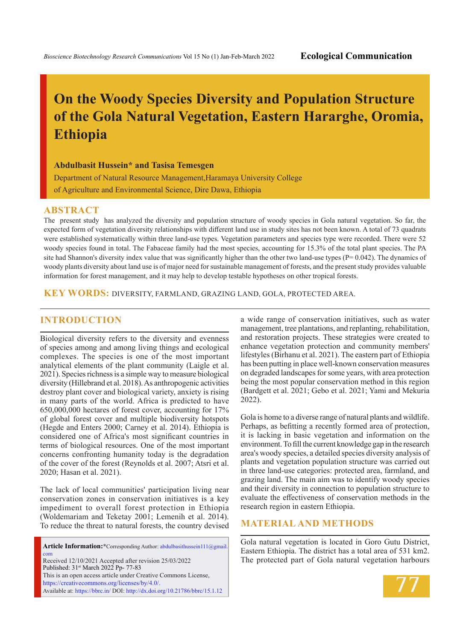# **On the Woody Species Diversity and Population Structure of the Gola Natural Vegetation, Eastern Hararghe, Oromia, Ethiopia**

#### **Abdulbasit Hussein\* and Tasisa Temesgen**

Department of Natural Resource Management,Haramaya University College of Agriculture and Environmental Science, Dire Dawa, Ethiopia

#### **ABSTRACT**

The present study has analyzed the diversity and population structure of woody species in Gola natural vegetation. So far, the expected form of vegetation diversity relationships with different land use in study sites has not been known. A total of 73 quadrats were established systematically within three land-use types. Vegetation parameters and species type were recorded. There were 52 woody species found in total. The Fabaceae family had the most species, accounting for 15.3% of the total plant species. The PA site had Shannon's diversity index value that was significantly higher than the other two land-use types  $(P = 0.042)$ . The dynamics of woody plants diversity about land use is of major need for sustainable management of forests, and the present study provides valuable information for forest management, and it may help to develop testable hypotheses on other tropical forests.

**KEY WORDS:** diversity, farmland, grazing land, gola, protected area.

## **INTRODUCTION**

Biological diversity refers to the diversity and evenness of species among and among living things and ecological complexes. The species is one of the most important analytical elements of the plant community (Laigle et al. 2021). Species richness is a simple way to measure biological diversity (Hillebrand et al. 2018). As anthropogenic activities destroy plant cover and biological variety, anxiety is rising in many parts of the world. Africa is predicted to have 650,000,000 hectares of forest cover, accounting for 17% of global forest cover and multiple biodiversity hotspots (Hegde and Enters 2000; Carney et al. 2014). Ethiopia is considered one of Africa's most significant countries in terms of biological resources. One of the most important concerns confronting humanity today is the degradation of the cover of the forest (Reynolds et al. 2007; Atsri et al. 2020; Hasan et al. 2021).

The lack of local communities' participation living near conservation zones in conservation initiatives is a key impediment to overall forest protection in Ethiopia (Woldemariam and Teketay 2001; Lemenih et al. 2014). To reduce the threat to natural forests, the country devised

Article Information:\*Corresponding Author: abdulbasithussein111@gmail. com Received 12/10/2021 Accepted after revision 25/03/2022 Published: 31st March 2022 Pp- 77-83 This is an open access article under Creative Commons License, https://creativecommons.org/licenses/by/4.0/. Available at: https://bbrc.in/ DOI: http://dx.doi.org/10.21786/bbrc/15.1.12

a wide range of conservation initiatives, such as water management, tree plantations, and replanting, rehabilitation, and restoration projects. These strategies were created to enhance vegetation protection and community members' lifestyles (Birhanu et al. 2021). The eastern part of Ethiopia has been putting in place well-known conservation measures on degraded landscapes for some years, with area protection being the most popular conservation method in this region (Bardgett et al. 2021; Gebo et al. 2021; Yami and Mekuria 2022).

Gola is home to a diverse range of natural plants and wildlife. Perhaps, as befitting a recently formed area of protection, it is lacking in basic vegetation and information on the environment. To fill the current knowledge gap in the research area's woody species, a detailed species diversity analysis of plants and vegetation population structure was carried out in three land-use categories: protected area, farmland, and grazing land. The main aim was to identify woody species and their diversity in connection to population structure to evaluate the effectiveness of conservation methods in the research region in eastern Ethiopia.

### **MATERIAL AND METHODS**

Gola natural vegetation is located in Goro Gutu District, Eastern Ethiopia. The district has a total area of 531 km2. The protected part of Gola natural vegetation harbours

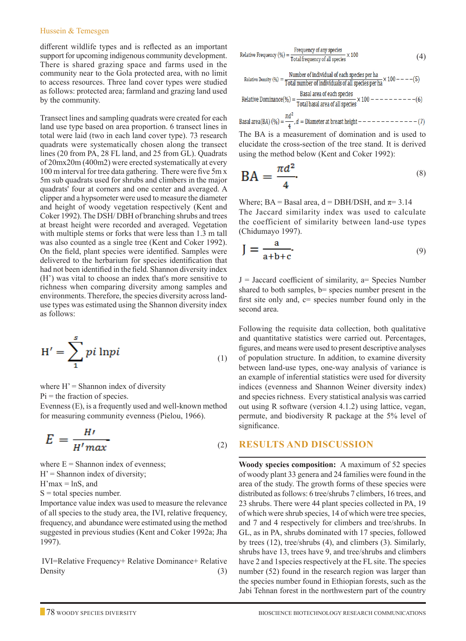#### Hussein & Temesgen

different wildlife types and is reflected as an important support for upcoming indigenous community development. There is shared grazing space and farms used in the community near to the Gola protected area, with no limit to access resources. Three land cover types were studied as follows: protected area; farmland and grazing land used by the community.

Transect lines and sampling quadrats were created for each land use type based on area proportion. 6 transect lines in total were laid (two in each land cover type). 73 research quadrats were systematically chosen along the transect lines (20 from PA, 28 FL land, and 25 from GL). Quadrats of 20mx20m (400m2) were erected systematically at every 100 m interval for tree data gathering. There were five 5m x 5m sub quadrats used for shrubs and climbers in the major quadrats' four at corners and one center and averaged. A clipper and a hypsometer were used to measure the diameter and height of woody vegetation respectively (Kent and Coker 1992). The DSH/ DBH of branching shrubs and trees at breast height were recorded and averaged. Vegetation with multiple stems or forks that were less than 1.3 m tall was also counted as a single tree (Kent and Coker 1992). On the field, plant species were identified. Samples were delivered to the herbarium for species identification that had not been identified in the field. Shannon diversity index (H') was vital to choose an index that's more sensitive to richness when comparing diversity among samples and environments. Therefore, the species diversity across landuse types was estimated using the Shannon diversity index as follows:

$$
H' = \sum_{1}^{s} pi \ln pi
$$
 (1)

where  $H' =$  Shannon index of diversity  $Pi =$  the fraction of species. Evenness (E), is a frequently used and well-known method

for measuring community evenness (Pielou, 1966).

$$
E = \frac{H'}{H'max} \tag{2}
$$

where  $E =$  Shannon index of evenness;  $H' =$  Shannon index of diversity;  $H'max = lnS$ , and  $S =$  total species number. Importance value index was used to measure the relevance

of all species to the study area, the IVI, relative frequency, frequency, and abundance were estimated using the method suggested in previous studies (Kent and Coker 1992a; Jha 1997).

IVI=Relative Frequency+ Relative Dominance+ Relative Density  $(3)$ 

Relative Frequency (%) = 
$$
\frac{\text{Frequency of any species}}{\text{Total frequency of all species}} \times 100
$$
 (4)

Relative Density (%) = 
$$
\frac{\text{Number of individual of each species per ha}}{\text{Total number of individuals of all species per ha}} \times 100 --- (5)
$$
  
Relative Dominance (%) = 
$$
\frac{\text{Basal area of each species}}{\text{Total number of individuals}} \times 100 --- (6)
$$

$$
100 - 200
$$

Basal area(BA) (%) =  $\frac{\pi d^2}{4}$ , d = Diameter at breast height - - - - - - - - - - - - - (7) The BA is a measurement of domination and is used to

elucidate the cross-section of the tree stand. It is derived using the method below (Kent and Coker 1992):

$$
BA = \frac{\pi d^2}{4}
$$
 (8)

Where;  $BA = Basal area$ ,  $d = DBH/DSH$ , and  $\pi = 3.14$ The Jaccard similarity index was used to calculate the coefficient of similarity between land-use types (Chidumayo 1997).

$$
J = \frac{a}{a+b+c}.\tag{9}
$$

 $J =$  Jaccard coefficient of similarity, a= Species Number shared to both samples, b= species number present in the first site only and,  $c$  = species number found only in the second area.

Following the requisite data collection, both qualitative and quantitative statistics were carried out. Percentages, figures, and means were used to present descriptive analyses of population structure. In addition, to examine diversity between land-use types, one-way analysis of variance is an example of inferential statistics were used for diversity indices (evenness and Shannon Weiner diversity index) and species richness. Every statistical analysis was carried out using R software (version 4.1.2) using lattice, vegan, permute, and biodiversity R package at the 5% level of significance.

## **Results and Discussion**

**Woody species composition:** A maximum of 52 species of woody plant 33 genera and 24 families were found in the area of the study. The growth forms of these species were distributed as follows: 6 tree/shrubs 7 climbers, 16 trees, and 23 shrubs. There were 44 plant species collected in PA, 19 of which were shrub species, 14 of which were tree species, and 7 and 4 respectively for climbers and tree/shrubs. In GL, as in PA, shrubs dominated with 17 species, followed by trees (12), tree/shrubs (4), and climbers (3). Similarly, shrubs have 13, trees have 9, and tree/shrubs and climbers have 2 and 1species respectively at the FL site. The species number (52) found in the research region was larger than the species number found in Ethiopian forests, such as the Jabi Tehnan forest in the northwestern part of the country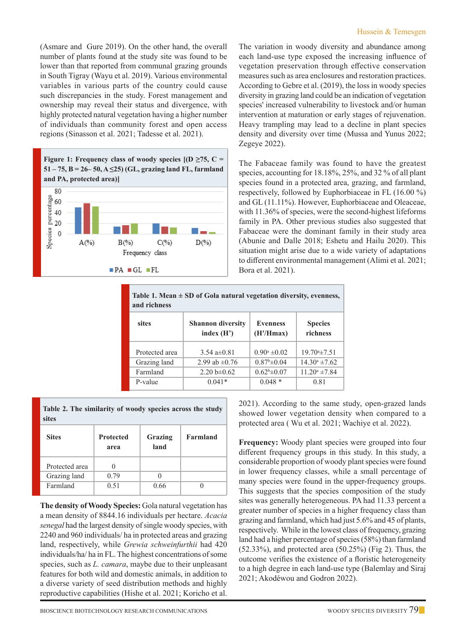(Asmare and Gure 2019). On the other hand, the overall number of plants found at the study site was found to be lower than that reported from communal grazing grounds in South Tigray (Wayu et al. 2019). Various environmental variables in various parts of the country could cause such discrepancies in the study. Forest management and ownership may reveal their status and divergence, with highly protected natural vegetation having a higher number of individuals than community forest and open access regions (Sinasson et al. 2021; Tadesse et al. 2021).



The variation in woody diversity and abundance among each land-use type exposed the increasing influence of vegetation preservation through effective conservation measures such as area enclosures and restoration practices. According to Gebre et al. (2019), the loss in woody species diversity in grazing land could be an indication of vegetation species' increased vulnerability to livestock and/or human intervention at maturation or early stages of rejuvenation. Heavy trampling may lead to a decline in plant species density and diversity over time (Mussa and Yunus 2022; Zegeye 2022).

The Fabaceae family was found to have the greatest species, accounting for 18.18%, 25%, and 32 % of all plant species found in a protected area, grazing, and farmland, respectively, followed by Euphorbiaceae in FL (16.00 %) and GL (11.11%). However, Euphorbiaceae and Oleaceae, with 11.36% of species, were the second-highest lifeforms family in PA. Other previous studies also suggested that Fabaceae were the dominant family in their study area (Abunie and Dalle 2018; Eshetu and Hailu 2020). This situation might arise due to a wide variety of adaptations to different environmental management (Alimi et al. 2021; Bora et al. 2021).

| Table 1. Mean $\pm$ SD of Gola natural vegetation diversity, evenness,<br>and richness |                                          |                              |                            |  |
|----------------------------------------------------------------------------------------|------------------------------------------|------------------------------|----------------------------|--|
| sites                                                                                  | <b>Shannon diversity</b><br>index $(H')$ | <b>Evenness</b><br>(H'/Hmax) | <b>Species</b><br>richness |  |
| Protected area                                                                         | 3.54 $a\pm 0.81$                         | $0.90^a \pm 0.02$            | $19.70*+7.51$              |  |
| Grazing land                                                                           | 2.99 ab $\pm 0.76$                       | $0.87^{\rm b} \pm 0.04$      | $14.30^{\circ}$ ±7.62      |  |
| Farmland                                                                               | 2.20 b $\pm 0.62$                        | $0.62^b \pm 0.07$            | $11.20^a \pm 7.84$         |  |
| P-value                                                                                | $0.041*$                                 | $0.048*$                     | 0.81                       |  |

**Table 2. The similarity of woody species across the study sites**

| <b>Sites</b>   | <b>Protected</b><br>area | Grazing<br>land | Farmland |
|----------------|--------------------------|-----------------|----------|
| Protected area |                          |                 |          |
| Grazing land   | 0.79                     |                 |          |
| Farmland       | 0.51                     | 0.66            |          |

**The density of Woody Species:** Gola natural vegetation has a mean density of 8844.16 individuals per hectare. *Acacia senegal* had the largest density of single woody species, with 2240 and 960 individuals/ ha in protected areas and grazing land, respectively, while *Grewia schweinfurthii* had 420 individuals/ha/ ha in FL. The highest concentrations of some species, such as *L. camara*, maybe due to their unpleasant features for both wild and domestic animals, in addition to a diverse variety of seed distribution methods and highly reproductive capabilities (Hishe et al. 2021; Koricho et al.

2021). According to the same study, open-grazed lands showed lower vegetation density when compared to a protected area ( Wu et al. 2021; Wachiye et al. 2022).

**Frequency:** Woody plant species were grouped into four different frequency groups in this study. In this study, a considerable proportion of woody plant species were found in lower frequency classes, while a small percentage of many species were found in the upper-frequency groups. This suggests that the species composition of the study sites was generally heterogeneous. PA had 11.33 percent a greater number of species in a higher frequency class than grazing and farmland, which had just 5.6% and 45 of plants, respectively. While in the lowest class of frequency, grazing land had a higher percentage of species (58%) than farmland  $(52.33\%)$ , and protected area  $(50.25\%)$  (Fig 2). Thus, the outcome verifies the existence of a floristic heterogeneity to a high degree in each land-use type (Balemlay and Siraj 2021; Akodéwou and Godron 2022).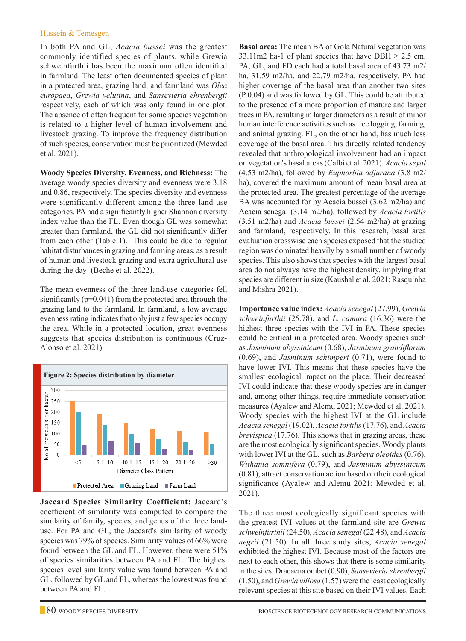#### Hussein & Temesgen

In both PA and GL, *Acacia bussei* was the greatest commonly identified species of plants, while Grewia schweinfurthii has been the maximum often identified in farmland. The least often documented species of plant in a protected area, grazing land, and farmland was *Olea europaea*, *Grewia velutina*, and *Sansevieria ehrenbergii*  respectively, each of which was only found in one plot. The absence of often frequent for some species vegetation is related to a higher level of human involvement and livestock grazing. To improve the frequency distribution of such species, conservation must be prioritized (Mewded et al. 2021).

**Woody Species Diversity, Evenness, and Richness:** The average woody species diversity and evenness were 3.18 and 0.86, respectively. The species diversity and evenness were significantly different among the three land-use categories. PA had a significantly higher Shannon diversity index value than the FL. Even though GL was somewhat greater than farmland, the GL did not significantly differ from each other (Table 1). This could be due to regular habitat disturbances in grazing and farming areas, as a result of human and livestock grazing and extra agricultural use during the day (Beche et al. 2022).

The mean evenness of the three land-use categories fell significantly ( $p=0.041$ ) from the protected area through the grazing land to the farmland. In farmland, a low average evenness rating indicates that only just a few species occupy the area. While in a protected location, great evenness suggests that species distribution is continuous (Cruz-Alonso et al. 2021).



**Jaccard Species Similarity Coefficient:** Jaccard's coefficient of similarity was computed to compare the similarity of family, species, and genus of the three landuse. For PA and GL, the Jaccard's similarity of woody species was 79% of species. Similarity values of 66% were found between the GL and FL. However, there were 51% of species similarities between PA and FL. The highest species level similarity value was found between PA and GL, followed by GL and FL, whereas the lowest was found between PA and FL.

**Basal area:** The mean BA of Gola Natural vegetation was 33.11m2 ha-1 of plant species that have DBH > 2.5 cm. PA, GL, and FD each had a total basal area of 43.73 m2/ ha, 31.59 m2/ha, and 22.79 m2/ha, respectively. PA had higher coverage of the basal area than another two sites (P 0.04) and was followed by GL. This could be attributed to the presence of a more proportion of mature and larger trees in PA, resulting in larger diameters as a result of minor human interference activities such as tree logging, farming, and animal grazing. FL, on the other hand, has much less coverage of the basal area. This directly related tendency revealed that anthropological involvement had an impact on vegetation's basal areas (Calbi et al. 2021). *Acacia seyal*  (4.53 m2/ha), followed by *Euphorbia adjurana* (3.8 m2/ ha), covered the maximum amount of mean basal area at the protected area. The greatest percentage of the average BA was accounted for by Acacia bussei (3.62 m2/ha) and Acacia senegal (3.14 m2/ha), followed by *Acacia tortilis*  (3.51 m2/ha) and *Acacia bussei* (2.54 m2/ha) at grazing and farmland, respectively. In this research, basal area evaluation crosswise each species exposed that the studied region was dominated heavily by a small number of woody species. This also shows that species with the largest basal area do not always have the highest density, implying that species are different in size (Kaushal et al. 2021; Rasquinha and Mishra 2021).

**Importance value index:** *Acacia senegal* (27.99), *Grewia schweinfurthii* (25.78), and *L. camara* (16.36) were the highest three species with the IVI in PA. These species could be critical in a protected area. Woody species such as *Jasminum abyssinicum* (0.68), *Jasminum grandiflorum*  (0.69), and *Jasminum schimperi* (0.71), were found to have lower IVI. This means that these species have the smallest ecological impact on the place. Their decreased IVI could indicate that these woody species are in danger and, among other things, require immediate conservation measures (Ayalew and Alemu 2021; Mewded et al. 2021). Woody species with the highest IVI at the GL include *Acacia senegal* (19.02), *Acacia tortilis* (17.76), and *Acacia brevispica* (17.76). This shows that in grazing areas, these are the most ecologically significant species. Woody plants with lower IVI at the GL, such as *Barbeya oleoides* (0.76), *Withania somnifera* (0.79), and *Jasminum abyssinicum*  (0.81), attract conservation action based on their ecological significance (Ayalew and Alemu 2021; Mewded et al. 2021).

The three most ecologically significant species with the greatest IVI values at the farmland site are *Grewia schweinfurthii* (24.50), *Acacia senegal* (22.48), and *Acacia negrii* (21.50). In all three study sites, *Acacia senegal*  exhibited the highest IVI. Because most of the factors are next to each other, this shows that there is some similarity in the sites. Dracaena ombet (0.90), *Sansevieria ehrenbergii*  (1.50), and *Grewia villosa* (1.57) were the least ecologically relevant species at this site based on their IVI values. Each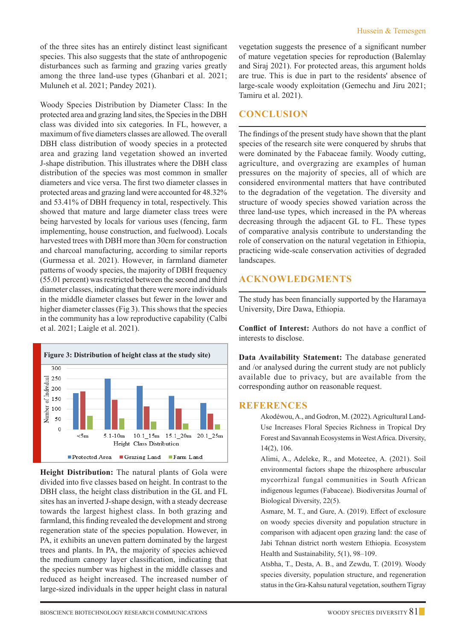of the three sites has an entirely distinct least significant species. This also suggests that the state of anthropogenic disturbances such as farming and grazing varies greatly among the three land-use types (Ghanbari et al. 2021; Muluneh et al. 2021; Pandey 2021).

Woody Species Distribution by Diameter Class: In the protected area and grazing land sites, the Species in the DBH class was divided into six categories. In FL, however, a maximum of five diameters classes are allowed. The overall DBH class distribution of woody species in a protected area and grazing land vegetation showed an inverted J-shape distribution. This illustrates where the DBH class distribution of the species was most common in smaller diameters and vice versa. The first two diameter classes in protected areas and grazing land were accounted for 48.32% and 53.41% of DBH frequency in total, respectively. This showed that mature and large diameter class trees were being harvested by locals for various uses (fencing, farm implementing, house construction, and fuelwood). Locals harvested trees with DBH more than 30cm for construction and charcoal manufacturing, according to similar reports (Gurmessa et al. 2021). However, in farmland diameter patterns of woody species, the majority of DBH frequency (55.01 percent) was restricted between the second and third diameter classes, indicating that there were more individuals in the middle diameter classes but fewer in the lower and higher diameter classes (Fig 3). This shows that the species in the community has a low reproductive capability (Calbi et al. 2021; Laigle et al. 2021).



**Height Distribution:** The natural plants of Gola were divided into five classes based on height. In contrast to the DBH class, the height class distribution in the GL and FL sites has an inverted J-shape design, with a steady decrease towards the largest highest class. In both grazing and farmland, this finding revealed the development and strong regeneration state of the species population. However, in PA, it exhibits an uneven pattern dominated by the largest trees and plants. In PA, the majority of species achieved the medium canopy layer classification, indicating that the species number was highest in the middle classes and reduced as height increased. The increased number of large-sized individuals in the upper height class in natural vegetation suggests the presence of a significant number of mature vegetation species for reproduction (Balemlay and Siraj 2021). For protected areas, this argument holds are true. This is due in part to the residents' absence of large-scale woody exploitation (Gemechu and Jiru 2021; Tamiru et al. 2021).

# **Conclusion**

The findings of the present study have shown that the plant species of the research site were conquered by shrubs that were dominated by the Fabaceae family. Woody cutting, agriculture, and overgrazing are examples of human pressures on the majority of species, all of which are considered environmental matters that have contributed to the degradation of the vegetation. The diversity and structure of woody species showed variation across the three land-use types, which increased in the PA whereas decreasing through the adjacent GL to FL. These types of comparative analysis contribute to understanding the role of conservation on the natural vegetation in Ethiopia, practicing wide-scale conservation activities of degraded landscapes.

# **Acknowledgments**

The study has been financially supported by the Haramaya University, Dire Dawa, Ethiopia.

**Conflict of Interest:** Authors do not have a conflict of interests to disclose.

**Data Availability Statement:** The database generated and /or analysed during the current study are not publicly available due to privacy, but are available from the corresponding author on reasonable request.

## **REFERENCES**

Akodéwou, A., and Godron, M. (2022). Agricultural Land-Use Increases Floral Species Richness in Tropical Dry Forest and Savannah Ecosystems in West Africa. Diversity, 14(2), 106.

Alimi, A., Adeleke, R., and Moteetee, A. (2021). Soil environmental factors shape the rhizosphere arbuscular mycorrhizal fungal communities in South African indigenous legumes (Fabaceae). Biodiversitas Journal of Biological Diversity, 22(5).

Asmare, M. T., and Gure, A. (2019). Effect of exclosure on woody species diversity and population structure in comparison with adjacent open grazing land: the case of Jabi Tehnan district north western Ethiopia. Ecosystem Health and Sustainability, 5(1), 98–109.

Atsbha, T., Desta, A. B., and Zewdu, T. (2019). Woody species diversity, population structure, and regeneration status in the Gra-Kahsu natural vegetation, southern Tigray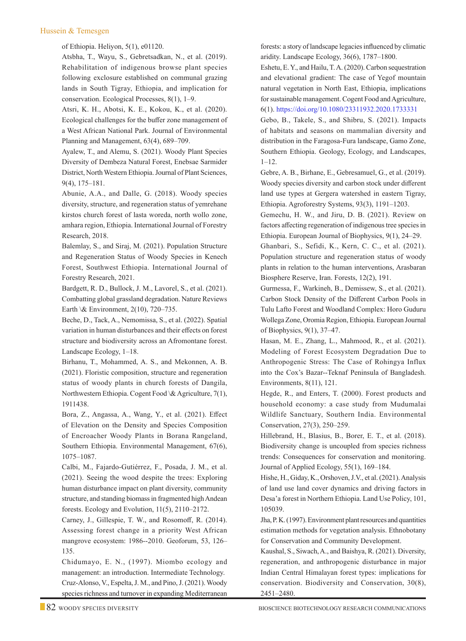#### Hussein & Temesgen

of Ethiopia. Heliyon, 5(1), e01120.

Atsbha, T., Wayu, S., Gebretsadkan, N., et al. (2019). Rehabilitation of indigenous browse plant species following exclosure established on communal grazing lands in South Tigray, Ethiopia, and implication for conservation. Ecological Processes, 8(1), 1–9.

Atsri, K. H., Abotsi, K. E., Kokou, K., et al. (2020). Ecological challenges for the buffer zone management of a West African National Park. Journal of Environmental Planning and Management, 63(4), 689–709.

Ayalew, T., and Alemu, S. (2021). Woody Plant Species Diversity of Dembeza Natural Forest, Enebsae Sarmider District, North Western Ethiopia. Journal of Plant Sciences, 9(4), 175–181.

Abunie, A.A., and Dalle, G. (2018). Woody species diversity, structure, and regeneration status of yemrehane kirstos church forest of lasta woreda, north wollo zone, amhara region, Ethiopia. International Journal of Forestry Research, 2018.

Balemlay, S., and Siraj, M. (2021). Population Structure and Regeneration Status of Woody Species in Kenech Forest, Southwest Ethiopia. International Journal of Forestry Research, 2021.

Bardgett, R. D., Bullock, J. M., Lavorel, S., et al. (2021). Combatting global grassland degradation. Nature Reviews Earth \& Environment, 2(10), 720–735.

Beche, D., Tack, A., Nemomissa, S., et al. (2022). Spatial variation in human disturbances and their effects on forest structure and biodiversity across an Afromontane forest. Landscape Ecology, 1–18.

Birhanu, T., Mohammed, A. S., and Mekonnen, A. B. (2021). Floristic composition, structure and regeneration status of woody plants in church forests of Dangila, Northwestern Ethiopia. Cogent Food \& Agriculture, 7(1), 1911438.

Bora, Z., Angassa, A., Wang, Y., et al. (2021). Effect of Elevation on the Density and Species Composition of Encroacher Woody Plants in Borana Rangeland, Southern Ethiopia. Environmental Management, 67(6), 1075–1087.

 Calbi, M., Fajardo-Gutiérrez, F., Posada, J. M., et al. (2021). Seeing the wood despite the trees: Exploring human disturbance impact on plant diversity, community structure, and standing biomass in fragmented high Andean forests. Ecology and Evolution, 11(5), 2110–2172.

 Carney, J., Gillespie, T. W., and Rosomoff, R. (2014). Assessing forest change in a priority West African mangrove ecosystem: 1986--2010. Geoforum, 53, 126– 135.

 Chidumayo, E. N., (1997). Miombo ecology and management: an introduction. Intermediate Technology. Cruz-Alonso, V., Espelta, J. M., and Pino, J. (2021). Woody species richness and turnover in expanding Mediterranean

forests: a story of landscape legacies influenced by climatic aridity. Landscape Ecology, 36(6), 1787–1800.

 Eshetu, E. Y., and Hailu, T. A. (2020). Carbon sequestration and elevational gradient: The case of Yegof mountain natural vegetation in North East, Ethiopia, implications for sustainable management. Cogent Food and Agriculture, 6(1). https://doi.org/10.1080/23311932.2020.1733331

 Gebo, B., Takele, S., and Shibru, S. (2021). Impacts of habitats and seasons on mammalian diversity and distribution in the Faragosa-Fura landscape, Gamo Zone, Southern Ethiopia. Geology, Ecology, and Landscapes, 1–12.

 Gebre, A. B., Birhane, E., Gebresamuel, G., et al. (2019). Woody species diversity and carbon stock under different land use types at Gergera watershed in eastern Tigray, Ethiopia. Agroforestry Systems, 93(3), 1191–1203.

 Gemechu, H. W., and Jiru, D. B. (2021). Review on factors affecting regeneration of indigenous tree species in Ethiopia. European Journal of Biophysics, 9(1), 24–29.

 Ghanbari, S., Sefidi, K., Kern, C. C., et al. (2021). Population structure and regeneration status of woody plants in relation to the human interventions, Arasbaran Biosphere Reserve, Iran. Forests, 12(2), 191.

 Gurmessa, F., Warkineh, B., Demissew, S., et al. (2021). Carbon Stock Density of the Different Carbon Pools in Tulu Lafto Forest and Woodland Complex: Horo Guduru Wollega Zone, Oromia Region, Ethiopia. European Journal of Biophysics, 9(1), 37–47.

Hasan, M. E., Zhang, L., Mahmood, R., et al. (2021). Modeling of Forest Ecosystem Degradation Due to Anthropogenic Stress: The Case of Rohingya Influx into the Cox's Bazar--Teknaf Peninsula of Bangladesh. Environments, 8(11), 121.

Hegde, R., and Enters, T. (2000). Forest products and household economy: a case study from Mudumalai Wildlife Sanctuary, Southern India. Environmental Conservation, 27(3), 250–259.

Hillebrand, H., Blasius, B., Borer, E. T., et al. (2018). Biodiversity change is uncoupled from species richness trends: Consequences for conservation and monitoring. Journal of Applied Ecology, 55(1), 169–184.

Hishe, H., Giday, K., Orshoven, J.V., et al. (2021). Analysis of land use land cover dynamics and driving factors in Desa'a forest in Northern Ethiopia. Land Use Policy, 101, 105039.

Jha, P. K. (1997). Environment plant resources and quantities estimation methods for vegetation analysis. Ethnobotany for Conservation and Community Development.

Kaushal, S., Siwach, A., and Baishya, R. (2021). Diversity, regeneration, and anthropogenic disturbance in major Indian Central Himalayan forest types: implications for conservation. Biodiversity and Conservation, 30(8), 2451–2480.